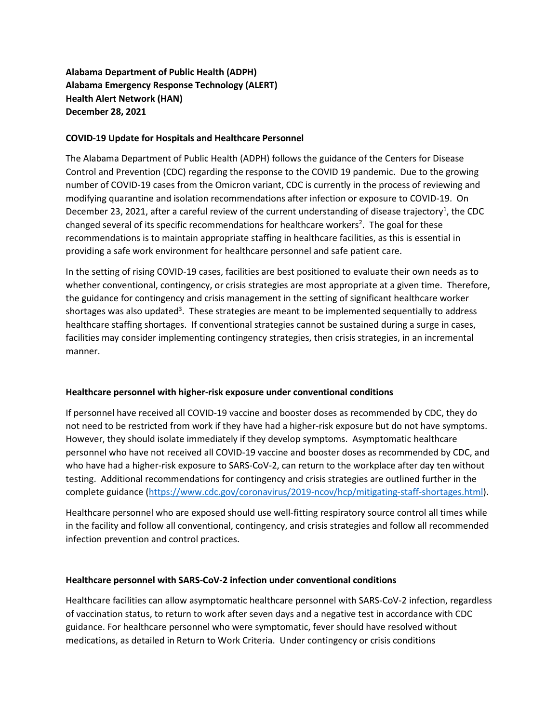**Alabama Department of Public Health (ADPH) Alabama Emergency Response Technology (ALERT) Health Alert Network (HAN) December 28, 2021**

## **COVID-19 Update for Hospitals and Healthcare Personnel**

The Alabama Department of Public Health (ADPH) follows the guidance of the Centers for Disease Control and Prevention (CDC) regarding the response to the COVID 19 pandemic. Due to the growing number of COVID-19 cases from the Omicron variant, CDC is currently in the process of reviewing and modifying quarantine and isolation recommendations after infection or exposure to COVID-19. On December 23, 2021, after a careful review of the current understanding of disease trajectory<sup>1</sup>, the CDC changed several of its specific recommendations for healthcare workers<sup>2</sup>. The goal for these recommendations is to maintain appropriate staffing in healthcare facilities, as this is essential in providing a safe work environment for healthcare personnel and safe patient care.

In the setting of rising COVID-19 cases, facilities are best positioned to evaluate their own needs as to whether conventional, contingency, or crisis strategies are most appropriate at a given time. Therefore, the guidance for contingency and crisis management in the setting of significant healthcare worker shortages was also updated<sup>3</sup>. These strategies are meant to be implemented sequentially to address healthcare staffing shortages. If conventional strategies cannot be sustained during a surge in cases, facilities may consider implementing contingency strategies, then crisis strategies, in an incremental manner.

## **Healthcare personnel with higher-risk exposure under conventional conditions**

If personnel have received all COVID-19 vaccine and booster doses as recommended by CDC, they do not need to be restricted from work if they have had a higher-risk exposure but do not have symptoms. However, they should isolate immediately if they develop symptoms. Asymptomatic healthcare personnel who have not received all COVID-19 vaccine and booster doses as recommended by CDC, and who have had a higher-risk exposure to SARS-CoV-2, can return to the workplace after day ten without testing. Additional recommendations for contingency and crisis strategies are outlined further in the complete guidance [\(https://www.cdc.gov/coronavirus/2019-ncov/hcp/mitigating-staff-shortages.html\)](https://www.cdc.gov/vaccines/covid-19/clinical-considerations/covid-19-vaccines-us.html).

Healthcare personnel who are exposed should use well-fitting respiratory source control all times while in the facility and follow all conventional, contingency, and crisis strategies and follow all recommended infection prevention and control practices.

## **Healthcare personnel with SARS-CoV-2 infection under conventional conditions**

Healthcare facilities can allow asymptomatic healthcare personnel with SARS-CoV-2 infection, regardless of vaccination status, to return to work after seven days and a negative test in accordance with CDC guidance. For healthcare personnel who were symptomatic, fever should have resolved without medications, as detailed in Return to Work Criteria. Under contingency or crisis conditions